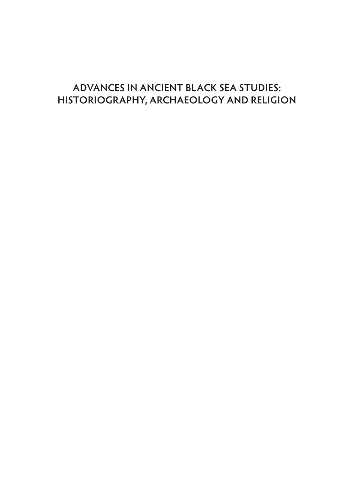# **ADVANCES IN ANCIENT BLACK SEA STUDIES: HISTORIOGRAPHY, ARCHAEOLOGY AND RELIGION**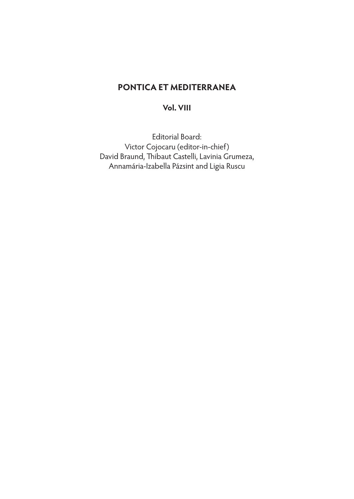# **PONTICA ET MEDITERRANEA**

## **Vol. VIII**

Editorial Board: Victor Cojocaru (editor-in-chief) David Braund, Thibaut Castelli, Lavinia Grumeza, Annamária-Izabella Pázsint and Ligia Ruscu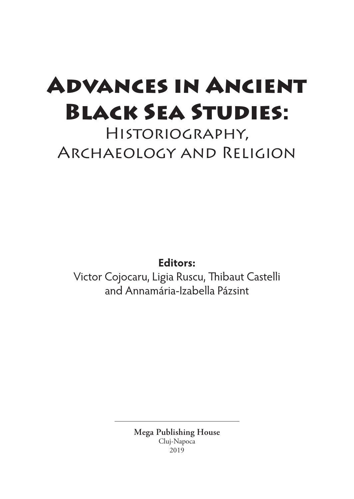# Advances in Ancient Black Sea Studies:

Historiography, Archaeology and Religion

**Editors:**

Victor Cojocaru, Ligia Ruscu, Thibaut Castelli and Annamária-Izabella Pázsint

> **Mega Publishing House** Cluj‑Napoca 2019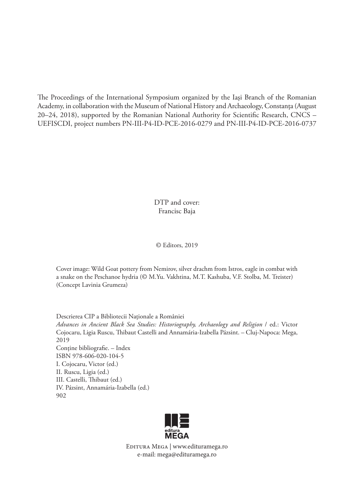The Proceedings of the International Symposium organized by the Iaşi Branch of the Romanian Academy, in collaboration with the Museum of National History and Archaeology, Constanța (August 20–24, 2018), supported by the Romanian National Authority for Scientific Research, CNCS – UEFISCDI, project numbers PN-III-P4-ID-PCE-2016-0279 and PN-III-P4-ID-PCE-2016-0737

> DTP and cover: Francisc Baja

#### © Editors, 2019

Cover image: Wild Goat pottery from Nemirov, silver drachm from Istros, eagle in combat with a snake on the Peschanoe hydria (© M.Yu. Vakhtina, M.T. Kashuba, V.F. Stolba, M. Treister) (Concept Lavinia Grumeza)

Descrierea CIP a Bibliotecii Naţionale a României *Advances in Ancient Black Sea Studies: Historiography, Archaeology and Religion* / ed.: Victor Cojocaru, Ligia Ruscu, Thibaut Castelli and Annamária-Izabella Pázsint. – Cluj-Napoca: Mega, 2019 Conţine bibliografie. – Index ISBN 978-606-020-104-5 I. Cojocaru, Victor (ed.) II. Ruscu, Ligia (ed.) III. Castelli, Thibaut (ed.) IV. Pázsint, Annamária-Izabella (ed.) 902



Editura Mega | www.edituramega.ro e‑mail: mega@edituramega.ro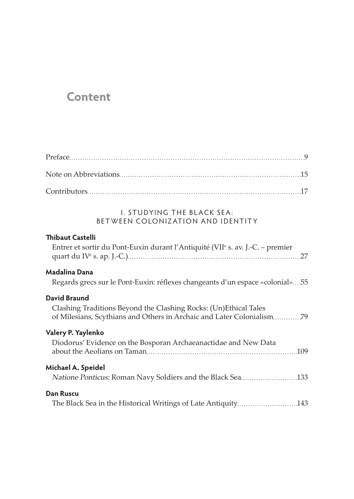# **Content**

## **I. STUDYING THE BLACK SEA:** BET WEEN COLONIZATION AND IDENTITY

#### **Thibaut Castelli**

| Entrer et sortir du Pont-Euxin durant l'Antiquité (VII <sup>e</sup> s. av. J.-C. – premier |  |
|--------------------------------------------------------------------------------------------|--|
|                                                                                            |  |

## **Madalina Dana**

Regards grecs sur le Pont-Euxin: réflexes changeants d'un espace «colonial»...55

### **David Braund**

Clashing Traditions Beyond the Clashing Rocks: (Un)Ethical Tales of Milesians, Scythians and Others in Archaic and Later Colonialism..............79

#### **Valery P. Yaylenko**

| Diodorus' Evidence on the Bosporan Archaeanactidae and New Data |  |
|-----------------------------------------------------------------|--|
| Michael A. Speidel                                              |  |
| Dan Ruscu                                                       |  |

The Black Sea in the Historical Writings of Late Antiquity........................... 143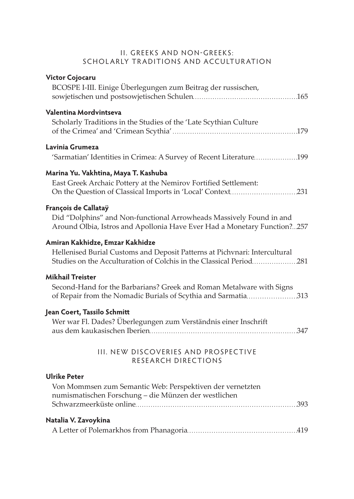## II. GREEKS AND NON-GREEKS: SCHOLARLY TRADITIONS AND ACCULTURATION

| <b>Victor Cojocaru</b><br>BCOSPE I-III. Einige Überlegungen zum Beitrag der russischen,                                                                                              |
|--------------------------------------------------------------------------------------------------------------------------------------------------------------------------------------|
| Valentina Mordvintseva<br>Scholarly Traditions in the Studies of the 'Late Scythian Culture                                                                                          |
| Lavinia Grumeza<br>'Sarmatian' Identities in Crimea: A Survey of Recent Literature 199                                                                                               |
| Marina Yu. Vakhtina, Maya T. Kashuba<br>East Greek Archaic Pottery at the Nemirov Fortified Settlement:                                                                              |
| François de Callataÿ<br>Did "Dolphins" and Non-functional Arrowheads Massively Found in and<br>Around Olbia, Istros and Apollonia Have Ever Had a Monetary Function?257              |
| Amiran Kakhidze, Emzar Kakhidze<br>Hellenised Burial Customs and Deposit Patterns at Pichvnari: Intercultural<br>Studies on the Acculturation of Colchis in the Classical Period 281 |
| <b>Mikhail Treister</b><br>Second-Hand for the Barbarians? Greek and Roman Metalware with Signs<br>of Repair from the Nomadic Burials of Scythia and Sarmatia 313                    |
| Jean Coert, Tassilo Schmitt<br>Wer war Fl. Dades? Überlegungen zum Verständnis einer Inschrift                                                                                       |
| III. NEW DISCOVERIES AND PROSPECTIVE<br>RESEARCH DIRECTIONS                                                                                                                          |
| <b>Ulrike Peter</b><br>Von Mommsen zum Semantic Web: Perspektiven der vernetzten<br>numismatischen Forschung - die Münzen der westlichen                                             |
| Natalia V. Zavoykina                                                                                                                                                                 |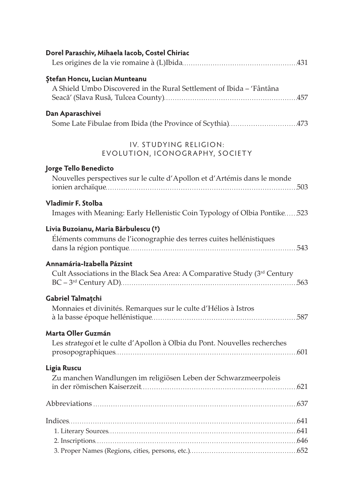| Dorel Paraschiv, Mihaela Iacob, Costel Chiriac                                                               |
|--------------------------------------------------------------------------------------------------------------|
| <b>Ștefan Honcu, Lucian Munteanu</b><br>A Shield Umbo Discovered in the Rural Settlement of Ibida - 'Fântâna |
| Dan Aparaschivei<br>Some Late Fibulae from Ibida (the Province of Scythia)473                                |
| IV. STUDYING RELIGION:<br>EVOLUTION, ICONOGRAPHY, SOCIETY                                                    |
| Jorge Tello Benedicto<br>Nouvelles perspectives sur le culte d'Apollon et d'Artémis dans le monde            |
| Vladimir F. Stolba<br>Images with Meaning: Early Hellenistic Coin Typology of Olbia Pontike523               |
| Livia Buzoianu, Maria Bărbulescu (†)<br>Éléments communs de l'iconographie des terres cuites hellénistiques  |
| Annamária-Izabella Pázsint<br>Cult Associations in the Black Sea Area: A Comparative Study (3rd Century      |
| Gabriel Talmatchi<br>Monnaies et divinités. Remarques sur le culte d'Hélios à Istros                         |
| Marta Oller Guzmán<br>Les strategoi et le culte d'Apollon à Olbia du Pont. Nouvelles recherches              |
| Ligia Ruscu<br>Zu manchen Wandlungen im religiösen Leben der Schwarzmeerpoleis                               |
|                                                                                                              |
|                                                                                                              |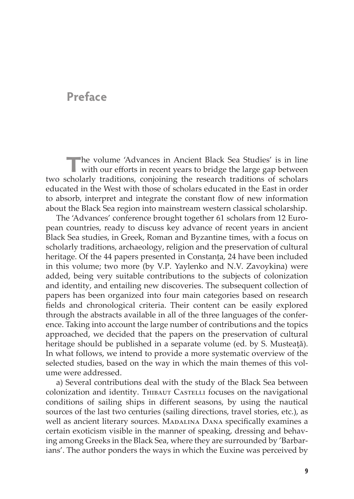# **Preface**

The volume 'Advances in Ancient Black Sea Studies' is in line with our efforts in recent years to bridge the large gap between two scholarly traditions, conjoining the research traditions of scholars educated in the West with those of scholars educated in the East in order to absorb, interpret and integrate the constant flow of new information about the Black Sea region into mainstream western classical scholarship.

The 'Advances' conference brought together 61 scholars from 12 European countries, ready to discuss key advance of recent years in ancient Black Sea studies, in Greek, Roman and Byzantine times, with a focus on scholarly traditions, archaeology, religion and the preservation of cultural heritage. Of the 44 papers presented in Constanta, 24 have been included in this volume; two more (by V.P. Yaylenko and N.V. Zavoykina) were added, being very suitable contributions to the subjects of colonization and identity, and entailing new discoveries. The subsequent collection of papers has been organized into four main categories based on research fields and chronological criteria. Their content can be easily explored through the abstracts available in all of the three languages of the conference. Taking into account the large number of contributions and the topics approached, we decided that the papers on the preservation of cultural heritage should be published in a separate volume (ed. by S. Musteaţă). In what follows, we intend to provide a more systematic overview of the selected studies, based on the way in which the main themes of this volume were addressed.

a) Several contributions deal with the study of the Black Sea between colonization and identity. THIBAUT CASTELLI focuses on the navigational conditions of sailing ships in different seasons, by using the nautical sources of the last two centuries (sailing directions, travel stories, etc.), as well as ancient literary sources. MADALINA DANA specifically examines a certain exoticism visible in the manner of speaking, dressing and behaving among Greeks in the Black Sea, where they are surrounded by 'Barbarians'. The author ponders the ways in which the Euxine was perceived by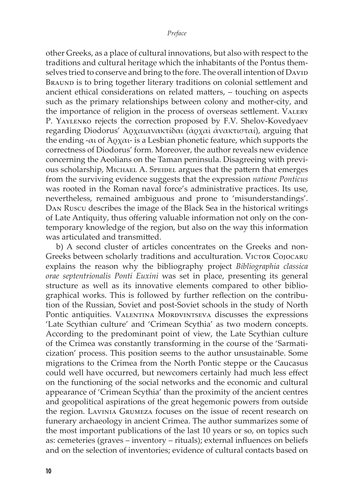other Greeks, as a place of cultural innovations, but also with respect to the traditions and cultural heritage which the inhabitants of the Pontus themselves tried to conserve and bring to the fore. The overall intention of David BRAUND is to bring together literary traditions on colonial settlement and ancient ethical considerations on related matters, – touching on aspects such as the primary relationships between colony and mother-city, and the importance of religion in the process of overseas settlement. Valery P. Yaylenko rejects the correction proposed by F.V. Shelov-Kovedyaev regarding Diodorus' Ἀρχαιανακτίδαι (ἀρχαὶ ἀνακτισταί), arguing that the ending - $α$ ι of Άρχαι- is a Lesbian phonetic feature, which supports the correctness of Diodorus' form. Moreover, the author reveals new evidence concerning the Aeolians on the Taman peninsula. Disagreeing with previous scholarship, Michael A. Speidel argues that the pattern that emerges from the surviving evidence suggests that the expression *natione Ponticus* was rooted in the Roman naval force's administrative practices. Its use, nevertheless, remained ambiguous and prone to 'misunderstandings'. Dan Ruscu describes the image of the Black Sea in the historical writings of Late Antiquity, thus offering valuable information not only on the contemporary knowledge of the region, but also on the way this information was articulated and transmitted.

b) A second cluster of articles concentrates on the Greeks and non-Greeks between scholarly traditions and acculturation. VICTOR COJOCARU explains the reason why the bibliography project *Bibliographia classica orae septentrionalis Ponti Euxini* was set in place, presenting its general structure as well as its innovative elements compared to other bibliographical works. This is followed by further reflection on the contribution of the Russian, Soviet and post-Soviet schools in the study of North Pontic antiquities. VALENTINA MORDVINTSEVA discusses the expressions 'Late Scythian culture' and 'Crimean Scythia' as two modern concepts. According to the predominant point of view, the Late Scythian culture of the Crimea was constantly transforming in the course of the 'Sarmaticization' process. This position seems to the author unsustainable. Some migrations to the Crimea from the North Pontic steppe or the Caucasus could well have occurred, but newcomers certainly had much less effect on the functioning of the social networks and the economic and cultural appearance of 'Crimean Scythia' than the proximity of the ancient centres and geopolitical aspirations of the great hegemonic powers from outside the region. Lavinia Grumeza focuses on the issue of recent research on funerary archaeology in ancient Crimea. The author summarizes some of the most important publications of the last 10 years or so, on topics such as: cemeteries (graves – inventory – rituals); external influences on beliefs and on the selection of inventories; evidence of cultural contacts based on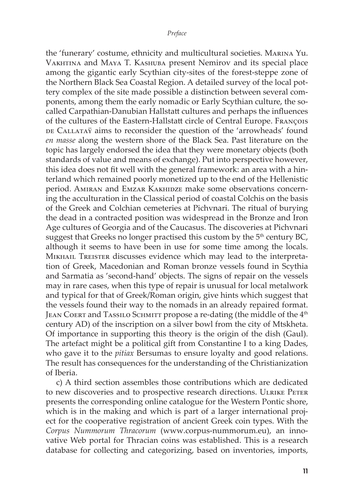the 'funerary' costume, ethnicity and multicultural societies. Marina Yu. Vakhtina and Maya T. Kashuba present Nemirov and its special place among the gigantic early Scythian city-sites of the forest-steppe zone of the Northern Black Sea Coastal Region. A detailed survey of the local pottery complex of the site made possible a distinction between several components, among them the early nomadic or Early Scythian culture, the socalled Carpathian-Danubian Hallstatt cultures and perhaps the influences of the cultures of the Eastern-Hallstatt circle of Central Europe. François DE CALLATAŸ aims to reconsider the question of the 'arrowheads' found *en masse* along the western shore of the Black Sea. Past literature on the topic has largely endorsed the idea that they were monetary objects (both standards of value and means of exchange). Put into perspective however, this idea does not fit well with the general framework: an area with a hinterland which remained poorly monetized up to the end of the Hellenistic period. Amiran and Emzar Kakhidze make some observations concerning the acculturation in the Classical period of coastal Colchis on the basis of the Greek and Colchian cemeteries at Pichvnari. The ritual of burying the dead in a contracted position was widespread in the Bronze and Iron Age cultures of Georgia and of the Caucasus. The discoveries at Pichvnari suggest that Greeks no longer practised this custom by the  $5<sup>th</sup>$  century BC, although it seems to have been in use for some time among the locals. Mikhail Treister discusses evidence which may lead to the interpretation of Greek, Macedonian and Roman bronze vessels found in Scythia and Sarmatia as 'second-hand' objects. The signs of repair on the vessels may in rare cases, when this type of repair is unusual for local metalwork and typical for that of Greek/Roman origin, give hints which suggest that the vessels found their way to the nomads in an already repaired format. JEAN COERT and TASSILO SCHMITT propose a re-dating (the middle of the 4<sup>th</sup> century AD) of the inscription on a silver bowl from the city of Mtskheta. Of importance in supporting this theory is the origin of the dish (Gaul). The artefact might be a political gift from Constantine I to a king Dades, who gave it to the *pitiax* Bersumas to ensure loyalty and good relations. The result has consequences for the understanding of the Christianization of Iberia.

c) A third section assembles those contributions which are dedicated to new discoveries and to prospective research directions. ULRIKE PETER presents the corresponding online catalogue for the Western Pontic shore, which is in the making and which is part of a larger international project for the cooperative registration of ancient Greek coin types. With the *Corpus Nummorum Thracorum* (www.corpus-nummorum.eu), an innovative Web portal for Thracian coins was established. This is a research database for collecting and categorizing, based on inventories, imports,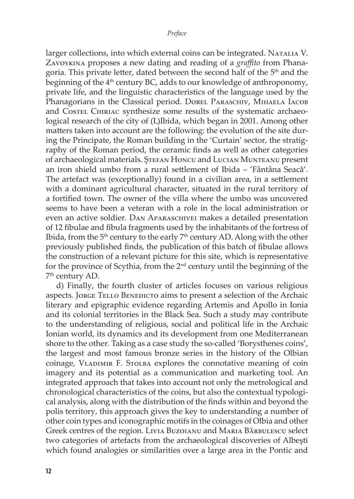larger collections, into which external coins can be integrated. NATALIA V. Zavoykina proposes a new dating and reading of a *graffito* from Phanagoria. This private letter, dated between the second half of the 5<sup>th</sup> and the beginning of the 4<sup>th</sup> century BC, adds to our knowledge of anthroponomy, private life, and the linguistic characteristics of the language used by the Phanagorians in the Classical period. DOREL PARASCHIV, MIHAELA IACOB and Costel Chiriac synthesize some results of the systematic archaeological research of the city of (L)Ibida, which began in 2001. Among other matters taken into account are the following: the evolution of the site during the Principate, the Roman building in the 'Curtain' sector, the stratigraphy of the Roman period, the ceramic finds as well as other categories of archaeological materials. ȘTEFAN HONCU and LUCIAN MUNTEANU present an iron shield umbo from a rural settlement of Ibida – 'Fântâna Seacă'. The artefact was (exceptionally) found in a civilian area, in a settlement with a dominant agricultural character, situated in the rural territory of a fortified town. The owner of the villa where the umbo was uncovered seems to have been a veteran with a role in the local administration or even an active soldier. Dan Aparaschivei makes a detailed presentation of 12 fibulae and fibula fragments used by the inhabitants of the fortress of Ibida, from the  $5<sup>th</sup>$  century to the early  $7<sup>th</sup>$  century AD. Along with the other previously published finds, the publication of this batch of fibulae allows the construction of a relevant picture for this site, which is representative for the province of Scythia, from the 2nd century until the beginning of the 7<sup>th</sup> century AD.

d) Finally, the fourth cluster of articles focuses on various religious aspects. JORGE TELLO BENEDICTO aims to present a selection of the Archaic literary and epigraphic evidence regarding Artemis and Apollo in Ionia and its colonial territories in the Black Sea. Such a study may contribute to the understanding of religious, social and political life in the Archaic Ionian world, its dynamics and its development from one Mediterranean shore to the other. Taking as a case study the so-called 'Borysthenes coins', the largest and most famous bronze series in the history of the Olbian coinage, VLADIMIR F. STOLBA explores the connotative meaning of coin imagery and its potential as a communication and marketing tool. An integrated approach that takes into account not only the metrological and chronological characteristics of the coins, but also the contextual typological analysis, along with the distribution of the finds within and beyond the polis territory, this approach gives the key to understanding a number of other coin types and iconographic motifs in the coinages of Olbia and other Greek centres of the region. Livia Buzoianu and Maria Bărbulescu select two categories of artefacts from the archaeological discoveries of Albeşti which found analogies or similarities over a large area in the Pontic and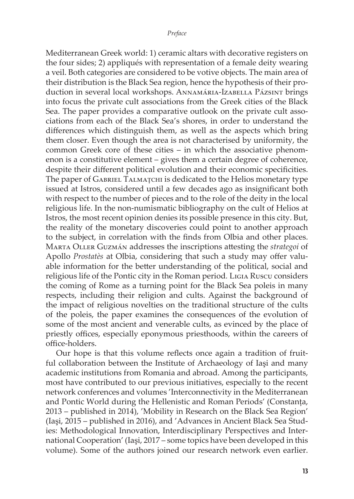Mediterranean Greek world: 1) ceramic altars with decorative registers on the four sides; 2) appliqués with representation of a female deity wearing a veil. Both categories are considered to be votive objects. The main area of their distribution is the Black Sea region, hence the hypothesis of their production in several local workshops. ANNAMÁRIA-IzABELLA PÁZSINT brings into focus the private cult associations from the Greek cities of the Black Sea. The paper provides a comparative outlook on the private cult associations from each of the Black Sea's shores, in order to understand the differences which distinguish them, as well as the aspects which bring them closer. Even though the area is not characterised by uniformity, the common Greek core of these cities – in which the associative phenomenon is a constitutive element – gives them a certain degree of coherence, despite their different political evolution and their economic specificities. The paper of Gabriel Talmațchi is dedicated to the Helios monetary type issued at Istros, considered until a few decades ago as insignificant both with respect to the number of pieces and to the role of the deity in the local religious life. In the non-numismatic bibliography on the cult of Helios at Istros, the most recent opinion denies its possible presence in this city. But, the reality of the monetary discoveries could point to another approach to the subject, in correlation with the finds from Olbia and other places. Marta Oller Guzmán addresses the inscriptions attesting the *strategoi* of Apollo *Prostatès* at Olbia, considering that such a study may offer valuable information for the better understanding of the political, social and religious life of the Pontic city in the Roman period*.* Ligia Ruscu considers the coming of Rome as a turning point for the Black Sea poleis in many respects, including their religion and cults. Against the background of the impact of religious novelties on the traditional structure of the cults of the poleis, the paper examines the consequences of the evolution of some of the most ancient and venerable cults, as evinced by the place of priestly offices, especially eponymous priesthoods, within the careers of office-holders.

Our hope is that this volume reflects once again a tradition of fruitful collaboration between the Institute of Archaeology of Iaşi and many academic institutions from Romania and abroad. Among the participants, most have contributed to our previous initiatives, especially to the recent network conferences and volumes 'Interconnectivity in the Mediterranean and Pontic World during the Hellenistic and Roman Periods' (Constanța, 2013 – published in 2014), 'Mobility in Research on the Black Sea Region' (Iaşi, 2015 – published in 2016), and 'Advances in Ancient Black Sea Studies: Methodological Innovation, Interdisciplinary Perspectives and International Cooperation' (Iaşi, 2017 – some topics have been developed in this volume). Some of the authors joined our research network even earlier.